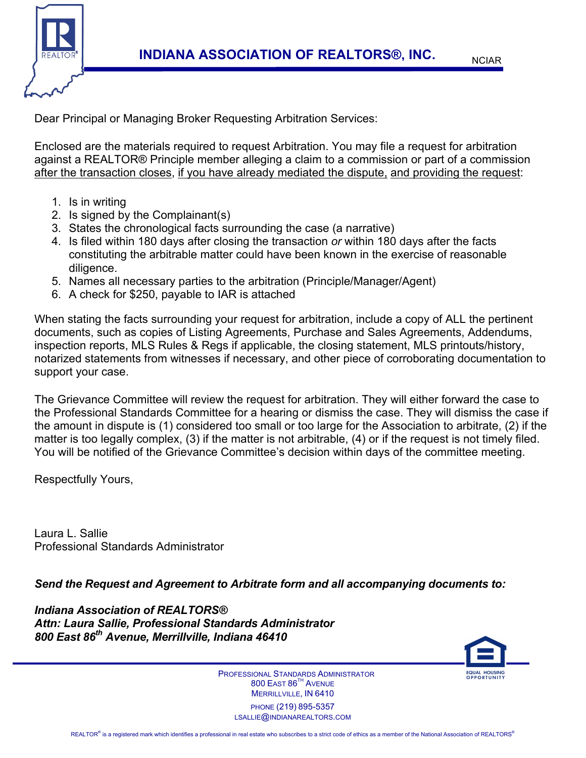

Dear Principal or Managing Broker Requesting Arbitration Services:

Enclosed are the materials required to request Arbitration. You may file a request for arbitration against a REALTOR® Principle member alleging a claim to a commission or part of a commission after the transaction closes, if you have already mediated the dispute, and providing the request:

- 1. Is in writing
- 2. Is signed by the Complainant(s)
- 3. States the chronological facts surrounding the case (a narrative)
- 4. Is filed within 180 days after closing the transaction *or* within 180 days after the facts constituting the arbitrable matter could have been known in the exercise of reasonable diligence.
- 5. Names all necessary parties to the arbitration (Principle/Manager/Agent)
- 6. A check for \$250, payable to IAR is attached

When stating the facts surrounding your request for arbitration, include a copy of ALL the pertinent documents, such as copies of Listing Agreements, Purchase and Sales Agreements, Addendums, inspection reports, MLS Rules & Regs if applicable, the closing statement, MLS printouts/history, notarized statements from witnesses if necessary, and other piece of corroborating documentation to support your case.

The Grievance Committee will review the request for arbitration. They will either forward the case to the Professional Standards Committee for a hearing or dismiss the case. They will dismiss the case if the amount in dispute is (1) considered too small or too large for the Association to arbitrate, (2) if the matter is too legally complex, (3) if the matter is not arbitrable, (4) or if the request is not timely filed. You will be notified of the Grievance Committee's decision within days of the committee meeting.

Respectfully Yours,

Laura L. Sallie Professional Standards Administrator

*Send the Request and Agreement to Arbitrate form and all accompanying documents to:* 

*Indiana Association of REALTORS® Attn: Laura Sallie, Professional Standards Administrator 800 East 86th Avenue, Merrillville, Indiana 46410*



 PROFESSIONAL STANDARDS ADMINISTRATOR 800 EAST 86TH AVENUE MERRILLVILLE, IN 6410 PHONE (219) 895-5357 LSALLIE@INDIANAREALTORS.COM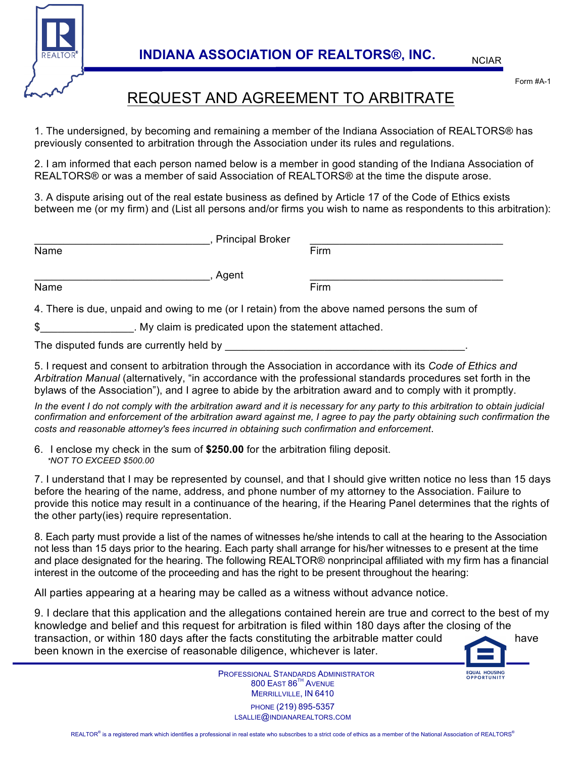

Form #A-1

## REQUEST AND AGREEMENT TO ARBITRATE

1. The undersigned, by becoming and remaining a member of the Indiana Association of REALTORS® has previously consented to arbitration through the Association under its rules and regulations.

2. I am informed that each person named below is a member in good standing of the Indiana Association of REALTORS® or was a member of said Association of REALTORS® at the time the dispute arose.

3. A dispute arising out of the real estate business as defined by Article 17 of the Code of Ethics exists between me (or my firm) and (List all persons and/or firms you wish to name as respondents to this arbitration):

|                                                                                               | <b>Principal Broker</b> |      |
|-----------------------------------------------------------------------------------------------|-------------------------|------|
| Name                                                                                          |                         | Firm |
|                                                                                               | Agent                   |      |
| Name                                                                                          |                         | Firm |
| 4. There is due, unpaid and owing to me (or I retain) from the above named persons the sum of |                         |      |
| \$<br>. My claim is predicated upon the statement attached.                                   |                         |      |

The disputed funds are currently held by

5. I request and consent to arbitration through the Association in accordance with its *Code of Ethics and Arbitration Manual* (alternatively, "in accordance with the professional standards procedures set forth in the bylaws of the Association"), and I agree to abide by the arbitration award and to comply with it promptly.

*In the event I do not comply with the arbitration award and it is necessary for any party to this arbitration to obtain judicial confirmation and enforcement of the arbitration award against me, I agree to pay the party obtaining such confirmation the costs and reasonable attorney's fees incurred in obtaining such confirmation and enforcement*.

6. I enclose my check in the sum of **\$250.00** for the arbitration filing deposit. *\*NOT TO EXCEED \$500.00*

7. I understand that I may be represented by counsel, and that I should give written notice no less than 15 days before the hearing of the name, address, and phone number of my attorney to the Association. Failure to provide this notice may result in a continuance of the hearing, if the Hearing Panel determines that the rights of the other party(ies) require representation.

8. Each party must provide a list of the names of witnesses he/she intends to call at the hearing to the Association not less than 15 days prior to the hearing. Each party shall arrange for his/her witnesses to e present at the time and place designated for the hearing. The following REALTOR® nonprincipal affiliated with my firm has a financial interest in the outcome of the proceeding and has the right to be present throughout the hearing:

All parties appearing at a hearing may be called as a witness without advance notice.

9. I declare that this application and the allegations contained herein are true and correct to the best of my knowledge and belief and this request for arbitration is filed within 180 days after the closing of the transaction, or within 180 days after the facts constituting the arbitrable matter could have been known in the exercise of reasonable diligence, whichever is later.

> PROFESSIONAL STANDARDS ADMINISTRATOR 800 EAST 86<sup>TH</sup> AVENUE MERRILLVILLE, IN 6410 PHONE (219) 895-5357 LSALLIE@INDIANAREALTORS.COM